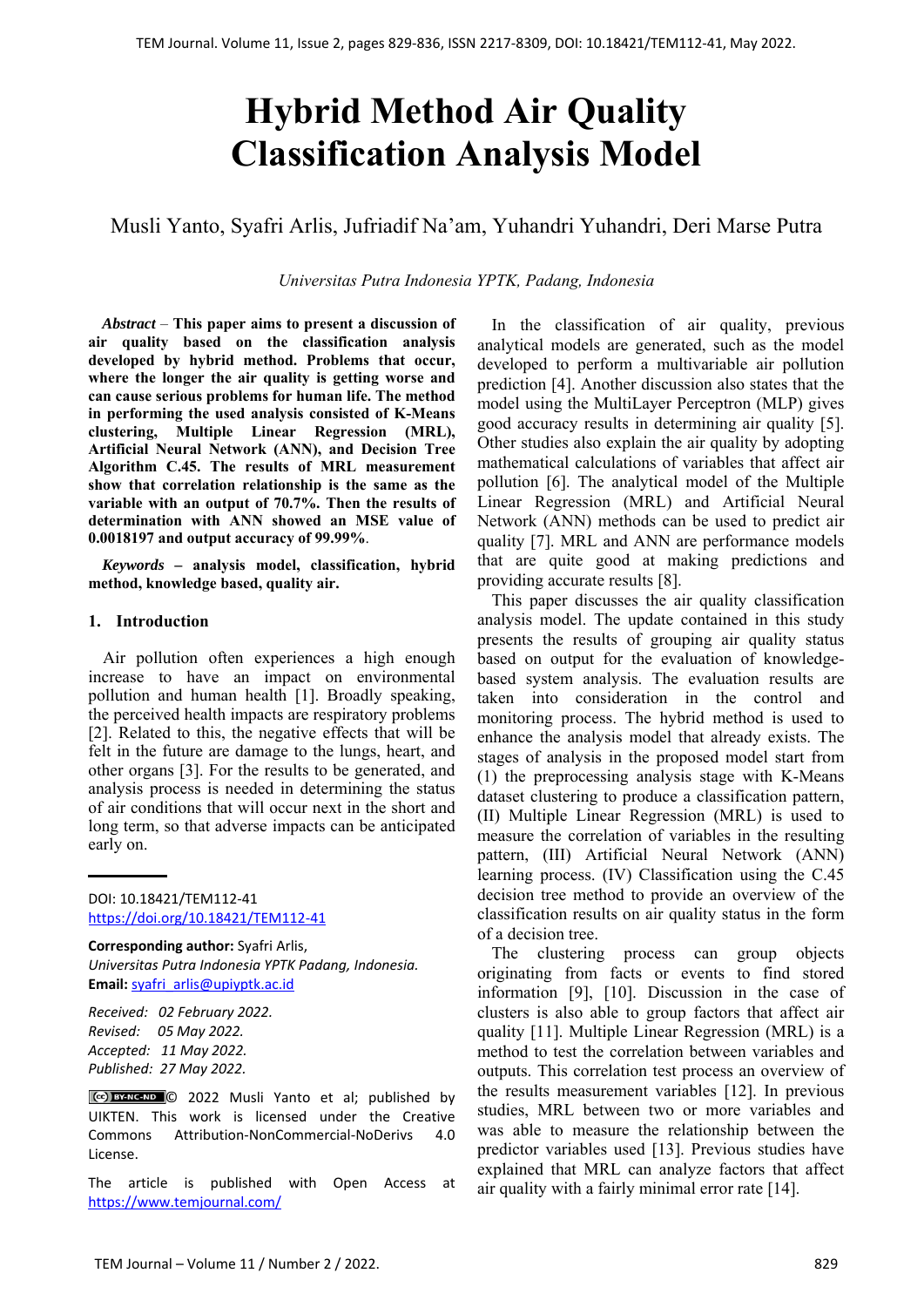# **Hybrid Method Air Quality Classification Analysis Model**

# Musli Yanto, Syafri Arlis, Jufriadif Na'am, Yuhandri Yuhandri, Deri Marse Putra

*Universitas Putra Indonesia YPTK, Padang, Indonesia* 

*Abstract –* **This paper aims to present a discussion of air quality based on the classification analysis developed by hybrid method. Problems that occur, where the longer the air quality is getting worse and can cause serious problems for human life. The method in performing the used analysis consisted of K-Means clustering, Multiple Linear Regression (MRL), Artificial Neural Network (ANN), and Decision Tree Algorithm C.45. The results of MRL measurement show that correlation relationship is the same as the variable with an output of 70.7%. Then the results of determination with ANN showed an MSE value of 0.0018197 and output accuracy of 99.99%**.

*Keywords –* **analysis model, classification, hybrid method, knowledge based, quality air.** 

#### **1. Introduction**

Air pollution often experiences a high enough increase to have an impact on environmental pollution and human health [1]. Broadly speaking, the perceived health impacts are respiratory problems [2]. Related to this, the negative effects that will be felt in the future are damage to the lungs, heart, and other organs [3]. For the results to be generated, and analysis process is needed in determining the status of air conditions that will occur next in the short and long term, so that adverse impacts can be anticipated early on.

DOI: 10.18421/TEM112-41 [https://doi.org/10.18421/TEM112](https://doi.org/10.18421/TEM112-41)-41

**Corresponding author:** Syafri Arlis, *Universitas Putra Indonesia YPTK Padang, Indonesia.*  **Email:** syafri\_arlis@upiyptk.ac.id

*Received: 02 February 2022. Revised: 05 May 2022. Accepted: 11 May 2022. Published: 27 May 2022.* 

© 2022 Musli Yanto et al; published by UIKTEN. This work is licensed under the Creative Commons Attribution‐NonCommercial‐NoDerivs 4.0 License.

The article is published with Open Access at https://www.temjournal.com/

In the classification of air quality, previous analytical models are generated, such as the model developed to perform a multivariable air pollution prediction [4]. Another discussion also states that the model using the MultiLayer Perceptron (MLP) gives good accuracy results in determining air quality [5]. Other studies also explain the air quality by adopting mathematical calculations of variables that affect air pollution [6]. The analytical model of the Multiple Linear Regression (MRL) and Artificial Neural Network (ANN) methods can be used to predict air quality [7]. MRL and ANN are performance models that are quite good at making predictions and providing accurate results [8].

This paper discusses the air quality classification analysis model. The update contained in this study presents the results of grouping air quality status based on output for the evaluation of knowledgebased system analysis. The evaluation results are taken into consideration in the control and monitoring process. The hybrid method is used to enhance the analysis model that already exists. The stages of analysis in the proposed model start from (1) the preprocessing analysis stage with K-Means dataset clustering to produce a classification pattern, (II) Multiple Linear Regression (MRL) is used to measure the correlation of variables in the resulting pattern, (III) Artificial Neural Network (ANN) learning process. (IV) Classification using the C.45 decision tree method to provide an overview of the classification results on air quality status in the form of a decision tree.

The clustering process can group objects originating from facts or events to find stored information [9], [10]. Discussion in the case of clusters is also able to group factors that affect air quality [11]. Multiple Linear Regression (MRL) is a method to test the correlation between variables and outputs. This correlation test process an overview of the results measurement variables [12]. In previous studies, MRL between two or more variables and was able to measure the relationship between the predictor variables used [13]. Previous studies have explained that MRL can analyze factors that affect air quality with a fairly minimal error rate [14].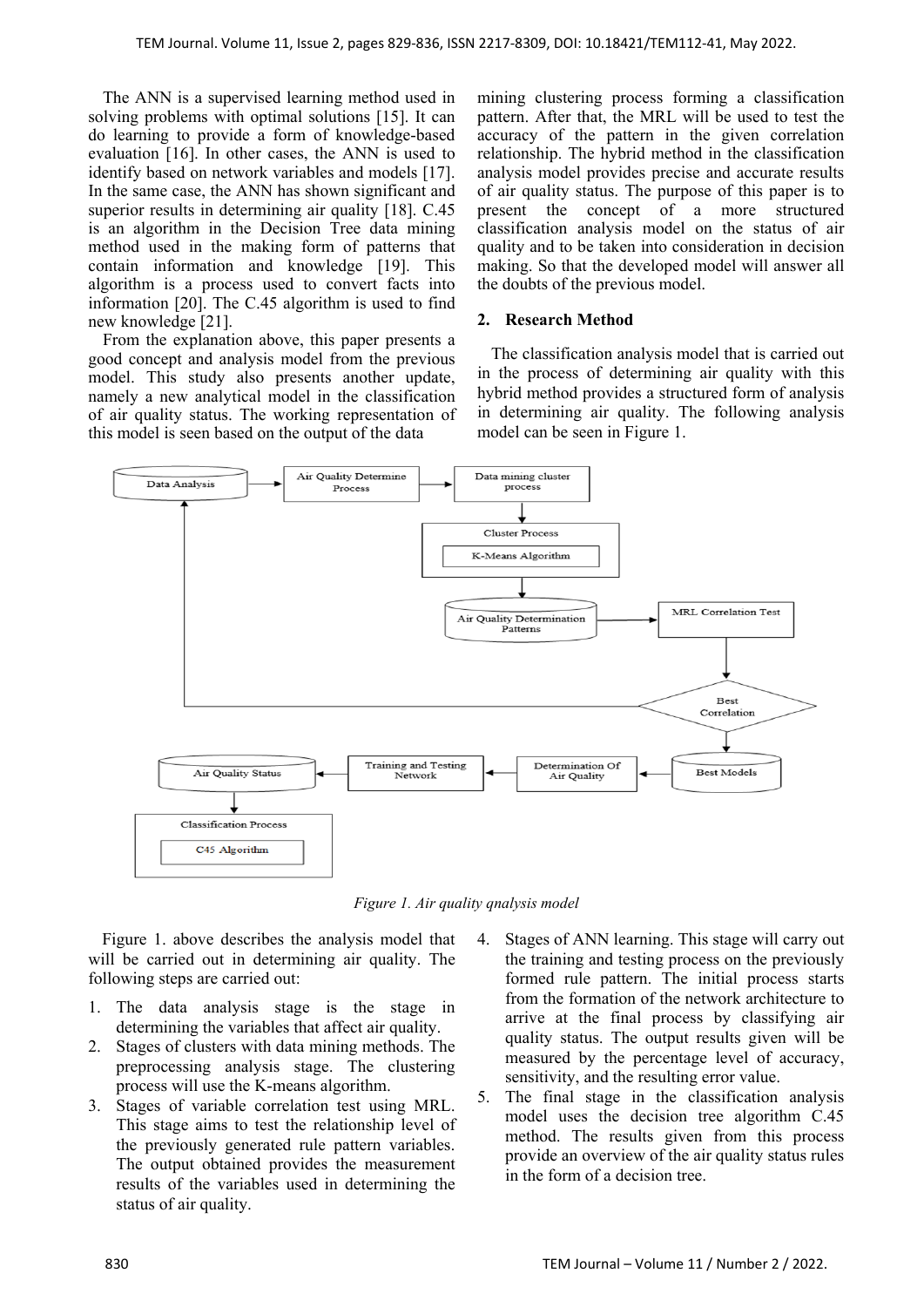The ANN is a supervised learning method used in solving problems with optimal solutions [15]. It can do learning to provide a form of knowledge-based evaluation [16]. In other cases, the ANN is used to identify based on network variables and models [17]. In the same case, the ANN has shown significant and superior results in determining air quality [18]. C.45 is an algorithm in the Decision Tree data mining method used in the making form of patterns that contain information and knowledge [19]. This algorithm is a process used to convert facts into information [20]. The C.45 algorithm is used to find new knowledge [21].

From the explanation above, this paper presents a good concept and analysis model from the previous model. This study also presents another update, namely a new analytical model in the classification of air quality status. The working representation of this model is seen based on the output of the data

mining clustering process forming a classification pattern. After that, the MRL will be used to test the accuracy of the pattern in the given correlation relationship. The hybrid method in the classification analysis model provides precise and accurate results of air quality status. The purpose of this paper is to present the concept of a more structured classification analysis model on the status of air quality and to be taken into consideration in decision making. So that the developed model will answer all the doubts of the previous model.

# **2. Research Method**

The classification analysis model that is carried out in the process of determining air quality with this hybrid method provides a structured form of analysis in determining air quality. The following analysis model can be seen in Figure 1.



*Figure 1. Air quality qnalysis model* 

Figure 1. above describes the analysis model that will be carried out in determining air quality. The following steps are carried out:

- 1. The data analysis stage is the stage in determining the variables that affect air quality.
- 2. Stages of clusters with data mining methods. The preprocessing analysis stage. The clustering process will use the K-means algorithm.
- 3. Stages of variable correlation test using MRL. This stage aims to test the relationship level of the previously generated rule pattern variables. The output obtained provides the measurement results of the variables used in determining the status of air quality.
- 4. Stages of ANN learning. This stage will carry out the training and testing process on the previously formed rule pattern. The initial process starts from the formation of the network architecture to arrive at the final process by classifying air quality status. The output results given will be measured by the percentage level of accuracy, sensitivity, and the resulting error value.
- 5. The final stage in the classification analysis model uses the decision tree algorithm C.45 method. The results given from this process provide an overview of the air quality status rules in the form of a decision tree.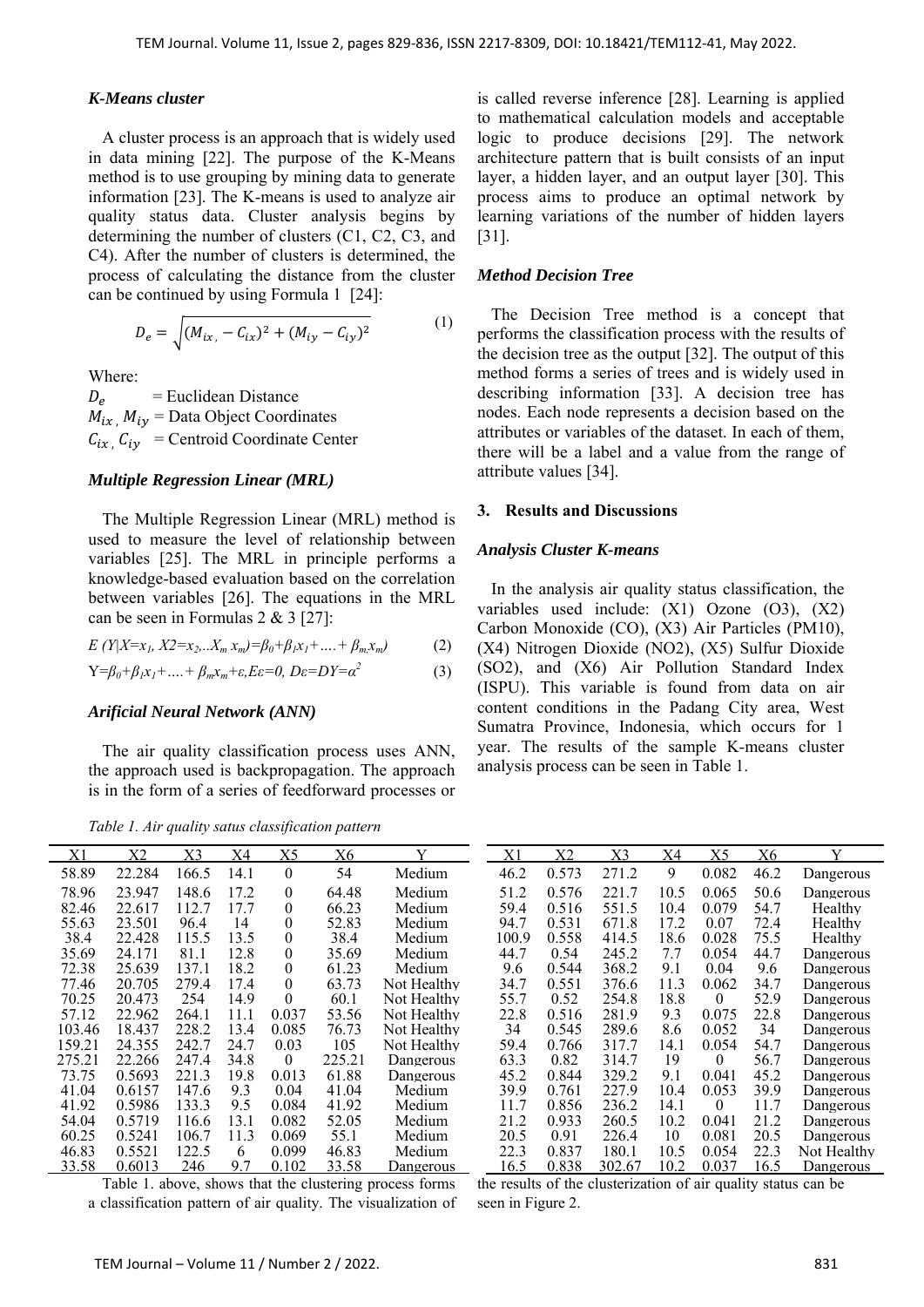#### *K-Means cluster*

A cluster process is an approach that is widely used in data mining [22]. The purpose of the K-Means method is to use grouping by mining data to generate information [23]. The K-means is used to analyze air quality status data. Cluster analysis begins by determining the number of clusters (C1, C2, C3, and C4). After the number of clusters is determined, the process of calculating the distance from the cluster can be continued by using Formula 1 [24]:

$$
D_e = \sqrt{(M_{ix} - C_{ix})^2 + (M_{iy} - C_{iy})^2}
$$
 (1)

Where:

 $D_e$  = Euclidean Distance  $M_{ix}$ ,  $M_{iy}$  = Data Object Coordinates  $C_{ix}$ ,  $C_{iy}$  = Centroid Coordinate Center

#### *Multiple Regression Linear (MRL)*

The Multiple Regression Linear (MRL) method is used to measure the level of relationship between variables [25]. The MRL in principle performs a knowledge-based evaluation based on the correlation between variables [26]. The equations in the MRL can be seen in Formulas 2 & 3 [27]:

$$
E(Y|X=x_1, X2=x_2...X_m, x_m)=\beta_0+\beta_1x_1+....+\beta_mx_m)
$$
 (2)

$$
Y = \beta_0 + \beta_1 x_1 + \dots + \beta_m x_m + \varepsilon, E\varepsilon = 0, D\varepsilon = DY = \alpha^2
$$
 (3)

#### *Arificial Neural Network (ANN)*

The air quality classification process uses ANN, the approach used is backpropagation. The approach is in the form of a series of feedforward processes or

*Table 1. Air quality satus classification pattern* 

is called reverse inference [28]. Learning is applied to mathematical calculation models and acceptable logic to produce decisions [29]. The network architecture pattern that is built consists of an input layer, a hidden layer, and an output layer [30]. This process aims to produce an optimal network by learning variations of the number of hidden layers [31].

#### *Method Decision Tree*

The Decision Tree method is a concept that performs the classification process with the results of the decision tree as the output [32]. The output of this method forms a series of trees and is widely used in describing information [33]. A decision tree has nodes. Each node represents a decision based on the attributes or variables of the dataset. In each of them, there will be a label and a value from the range of attribute values [34].

#### **3. Results and Discussions**

#### *Analysis Cluster K-means*

In the analysis air quality status classification, the variables used include: (X1) Ozone (O3), (X2) Carbon Monoxide (CO), (X3) Air Particles (PM10), (X4) Nitrogen Dioxide (NO2), (X5) Sulfur Dioxide (SO2), and (X6) Air Pollution Standard Index (ISPU). This variable is found from data on air content conditions in the Padang City area, West Sumatra Province, Indonesia, which occurs for 1 year. The results of the sample K-means cluster analysis process can be seen in Table 1.

| X1     | X2     | X3    | <u>X4</u> | X5       | Х6     | v           | X1           | <u>X2</u> | X3     | X4   | X5       | X6   |                  |
|--------|--------|-------|-----------|----------|--------|-------------|--------------|-----------|--------|------|----------|------|------------------|
| 58.89  | 22.284 | 166.5 | 14.1      | $\theta$ | 54     | Medium      | 46.2         | 0.573     | 271.2  | 9    | 0.082    | 46.2 | Dangerous        |
| 78.96  | 23.947 | 148.6 | 17.2      | $\theta$ | 64.48  | Medium      | 51.2         | 0.576     | 221.7  | 10.5 | 0.065    | 50.6 | Dangerous        |
| 82.46  | 22.617 | 112.7 | 17.7      | $\Omega$ | 66.23  | Medium      | 59.4         | 0.516     | 551.5  | 10.4 | 0.079    | 54.7 | Healthy          |
| 55.63  | 23.501 | 96.4  | 14        | $\theta$ | 52.83  | Medium      | 94.7         | 0.531     | 671.8  | 17.2 | 0.07     | 72.4 | Healthy          |
| 38.4   | 22.428 | 115.5 | 13.5      | $\theta$ | 38.4   | Medium      | 100.9        | 0.558     | 414.5  | 18.6 | 0.028    | 75.5 | Healthy          |
| 35.69  | 24.171 | 81.1  | 12.8      | $\theta$ | 35.69  | Medium      | 44.7         | 0.54      | 245.2  | 7.7  | 0.054    | 44.7 | Dangerous        |
| 72.38  | 25.639 | 137.1 | 18.2      | $\theta$ | 61.23  | Medium      | 9.6          | 0.544     | 368.2  | 9.1  | 0.04     | 9.6  | Dangerous        |
| 77.46  | 20.705 | 279.4 | 17.4      | $\Omega$ | 63.73  | Not Healthy | 34.7         | 0.551     | 376.6  | 11.3 | 0.062    | 34.7 | Dangerous        |
| 70.25  | 20.473 | 254   | 14.9      | $\theta$ | 60.1   | Not Healthy | 55.7         | 0.52      | 254.8  | 18.8 | $\theta$ | 52.9 | Dangerous        |
| 57.12  | 22.962 | 264.1 | 11.1      | 0.037    | 53.56  | Not Healthy | 22.8         | 0.516     | 281.9  | 9.3  | 0.075    | 22.8 | Dangerous        |
| 103.46 | 18.437 | 228.2 | 13.4      | 0.085    | 76.73  | Not Healthy | 34           | 0.545     | 289.6  | 8.6  | 0.052    | 34   | Dangerous        |
| 159.21 | 24.355 | 242.7 | 24.7      | 0.03     | 105    | Not Healthy | 59.4         | 0.766     | 317.7  | 14.1 | 0.054    | 54.7 | Dangerous        |
| 275.21 | 22.266 | 247.4 | 34.8      | $\theta$ | 225.21 | Dangerous   | 63.3         | 0.82      | 314.7  | 19   | $\theta$ | 56.7 | Dangerous        |
| 73.75  | 0.5693 | 221.3 | 19.8      | 0.013    | 61.88  | Dangerous   | 45.2         | 0.844     | 329.2  | 9.1  | 0.041    | 45.2 | Dangerous        |
| 41.04  | 0.6157 | 147.6 | 9.3       | 0.04     | 41.04  | Medium      | 39.9         | 0.761     | 227.9  | 10.4 | 0.053    | 39.9 | Dangerous        |
| 41.92  | 0.5986 | 133.3 | 9.5       | 0.084    | 41.92  | Medium      | 11.7         | 0.856     | 236.2  | 14.1 | $\theta$ | 11.7 | Dangerous        |
| 54.04  | 0.5719 | 116.6 | 13.1      | 0.082    | 52.05  | Medium      | 21.2         | 0.933     | 260.5  | 10.2 | 0.041    | 21.2 | Dangerous        |
| 60.25  | 0.5241 | 106.7 | 11.3      | 0.069    | 55.1   | Medium      | 20.5         | 0.91      | 226.4  | 10   | 0.081    | 20.5 | Dangerous        |
| 46.83  | 0.5521 | 122.5 | 6         | 0.099    | 46.83  | Medium      | 22.3         | 0.837     | 180.1  | 10.5 | 0.054    | 22.3 | Not Healthy      |
| 33.58  | 0.6013 | 246   | 9.7       | 0.102    | 33.58  | Dangerous   | <u> 16.5</u> | 0.838     | 302.67 | 10.2 | 0.037    | 16.5 | <b>Dangerous</b> |

Table 1. above, shows that the clustering process forms a classification pattern of air quality. The visualization of

the results of the clusterization of air quality status can be seen in Figure 2.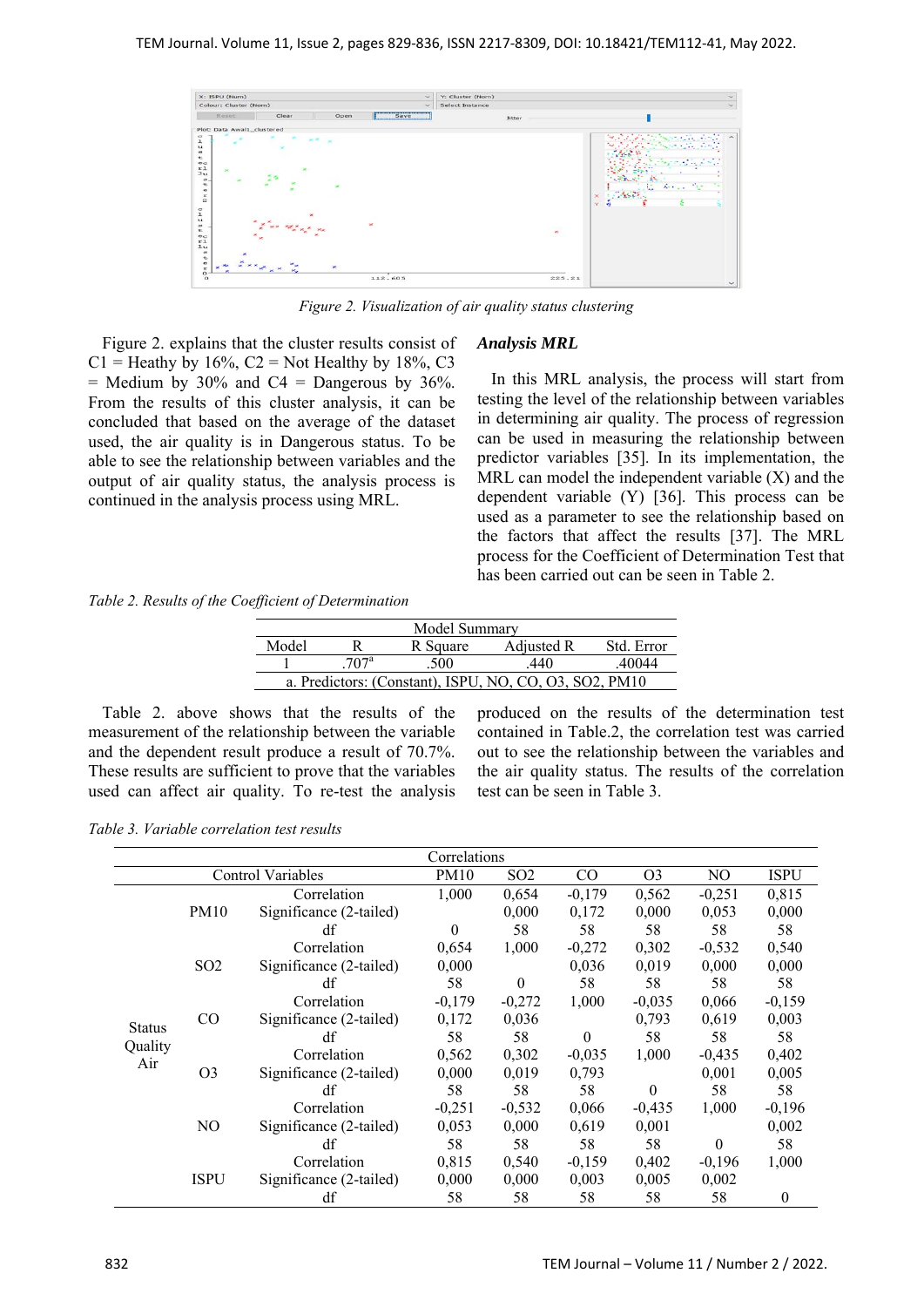| X: ISPU (Num)                                                                                                                                                                                                                                                                                                                     |                                                                                                                                                                                                                                                                                                                                                                                                        |             | $\sim$  | Y: Cluster (Nom) |                                                                                                                                                 |  |  |  |
|-----------------------------------------------------------------------------------------------------------------------------------------------------------------------------------------------------------------------------------------------------------------------------------------------------------------------------------|--------------------------------------------------------------------------------------------------------------------------------------------------------------------------------------------------------------------------------------------------------------------------------------------------------------------------------------------------------------------------------------------------------|-------------|---------|------------------|-------------------------------------------------------------------------------------------------------------------------------------------------|--|--|--|
| Colour: Cluster (Nom)                                                                                                                                                                                                                                                                                                             |                                                                                                                                                                                                                                                                                                                                                                                                        |             | $\sim$  | Select Instance  | $\sim$                                                                                                                                          |  |  |  |
| Reset                                                                                                                                                                                                                                                                                                                             | Clear                                                                                                                                                                                                                                                                                                                                                                                                  | Open        | Save    | <b>Jitter</b>    |                                                                                                                                                 |  |  |  |
| Plot: Data Awal1_clustered                                                                                                                                                                                                                                                                                                        |                                                                                                                                                                                                                                                                                                                                                                                                        |             |         |                  |                                                                                                                                                 |  |  |  |
| $\sigma$<br>$\mathbf 1$<br>$\mathbf{u}$<br>$\equiv$<br>t<br>$^{0}$<br>$x_1$<br>×<br>3u<br>$\mathcal{D}$ .<br>$\frac{\tau}{\sigma}$<br>$\frac{1}{2}$<br>$\,$<br>$\mathbf{L}$<br>$\mathbf{u}$<br>$\overline{1}$<br>t<br>$\sigma$ $\sim$<br>$x_1$<br>1u<br>$\Rightarrow$<br>t<br>$\circ$<br>$\overline{\phantom{a}}$<br>$\mathbf{r}$ | <b>RCM</b><br>×<br>$\sum_{i=1}^{n} \frac{1}{n} \sum_{i=1}^{n} \frac{1}{n} \sum_{i=1}^{n} \frac{1}{n} \sum_{i=1}^{n} \frac{1}{n} \sum_{i=1}^{n} \frac{1}{n} \sum_{i=1}^{n} \frac{1}{n} \sum_{i=1}^{n} \frac{1}{n} \sum_{i=1}^{n} \frac{1}{n} \sum_{i=1}^{n} \frac{1}{n} \sum_{i=1}^{n} \frac{1}{n} \sum_{i=1}^{n} \frac{1}{n} \sum_{i=1}^{n} \frac{1}{n} \sum_{i=1}^{n} \frac{1}{n$<br>$x^{\mathbf{x}}$ | ×<br>×<br>× | ×       | $\mathbf{x}$     | ∽<br><br>- 57<br>$\mathcal{E}_{\mathcal{E}}(x)$ , $\mathcal{E}_{\mathcal{E}}(x)$<br>t.<br>Page.<br>1.7837<br>$\mathbf{x}$<br>$\mathbf{v}$<br>÷. |  |  |  |
| $\frac{0}{0}$                                                                                                                                                                                                                                                                                                                     |                                                                                                                                                                                                                                                                                                                                                                                                        |             | 112.605 | 225.21           | $\checkmark$                                                                                                                                    |  |  |  |

*Figure 2. Visualization of air quality status clustering* 

Figure 2. explains that the cluster results consist of C1 = Heathy by  $16\%$ , C2 = Not Healthy by  $18\%$ , C3 = Medium by 30% and C4 = Dangerous by 36%. From the results of this cluster analysis, it can be concluded that based on the average of the dataset used, the air quality is in Dangerous status. To be able to see the relationship between variables and the output of air quality status, the analysis process is continued in the analysis process using MRL.

#### *Analysis MRL*

In this MRL analysis, the process will start from testing the level of the relationship between variables in determining air quality. The process of regression can be used in measuring the relationship between predictor variables [35]. In its implementation, the MRL can model the independent variable  $(X)$  and the dependent variable (Y) [36]. This process can be used as a parameter to see the relationship based on the factors that affect the results [37]. The MRL process for the Coefficient of Determination Test that has been carried out can be seen in Table 2.

*Table 2. Results of the Coefficient of Determination* 

| Model Summary                                          |                  |          |            |            |  |  |  |  |
|--------------------------------------------------------|------------------|----------|------------|------------|--|--|--|--|
| Model                                                  |                  | R Square | Adjusted R | Std. Error |  |  |  |  |
|                                                        | 707 <sup>a</sup> | .500     | .440       | .40044     |  |  |  |  |
| a. Predictors: (Constant), ISPU, NO, CO, O3, SO2, PM10 |                  |          |            |            |  |  |  |  |

Table 2. above shows that the results of the measurement of the relationship between the variable and the dependent result produce a result of 70.7%. These results are sufficient to prove that the variables used can affect air quality. To re-test the analysis produced on the results of the determination test contained in Table.2, the correlation test was carried out to see the relationship between the variables and the air quality status. The results of the correlation test can be seen in Table 3.

*Table 3. Variable correlation test results* 

|                | Correlations    |                          |          |                 |          |                |          |              |  |  |
|----------------|-----------------|--------------------------|----------|-----------------|----------|----------------|----------|--------------|--|--|
|                |                 | <b>Control Variables</b> | PM10     | SO <sub>2</sub> | $\rm CO$ | O <sub>3</sub> | NO       | <b>ISPU</b>  |  |  |
|                |                 | Correlation              | 1,000    | 0,654           | $-0,179$ | 0,562          | $-0,251$ | 0,815        |  |  |
|                | PM10            | Significance (2-tailed)  |          | 0,000           | 0,172    | 0,000          | 0,053    | 0,000        |  |  |
|                |                 | df                       | $\Omega$ | 58              | 58       | 58             | 58       | 58           |  |  |
|                |                 | Correlation              | 0,654    | 1,000           | $-0,272$ | 0,302          | $-0,532$ | 0,540        |  |  |
|                | SO <sub>2</sub> | Significance (2-tailed)  | 0,000    |                 | 0,036    | 0,019          | 0,000    | 0,000        |  |  |
|                |                 | df                       | 58       | $\Omega$        | 58       | 58             | 58       | 58           |  |  |
|                |                 | Correlation              | $-0,179$ | $-0,272$        | 1,000    | $-0,035$       | 0,066    | $-0,159$     |  |  |
| <b>Status</b>  | $\rm CO$        | Significance (2-tailed)  | 0,172    | 0,036           |          | 0,793          | 0,619    | 0,003        |  |  |
|                |                 | df                       | 58       | 58              | $\Omega$ | 58             | 58       | 58           |  |  |
| Quality<br>Air |                 | Correlation              | 0,562    | 0,302           | $-0,035$ | 1.000          | $-0,435$ | 0,402        |  |  |
|                | O <sub>3</sub>  | Significance (2-tailed)  | 0,000    | 0,019           | 0,793    |                | 0,001    | 0,005        |  |  |
|                |                 | df                       | 58       | 58              | 58       | $\theta$       | 58       | 58           |  |  |
|                |                 | Correlation              | $-0,251$ | $-0,532$        | 0,066    | $-0,435$       | 1,000    | $-0,196$     |  |  |
|                | N <sub>O</sub>  | Significance (2-tailed)  | 0,053    | 0,000           | 0,619    | 0,001          |          | 0,002        |  |  |
|                |                 | df                       | 58       | 58              | 58       | 58             | $\Omega$ | 58           |  |  |
|                |                 | Correlation              | 0,815    | 0,540           | $-0,159$ | 0,402          | $-0,196$ | 1,000        |  |  |
|                | <b>ISPU</b>     | Significance (2-tailed)  | 0,000    | 0,000           | 0,003    | 0,005          | 0,002    |              |  |  |
|                |                 | df                       | 58       | 58              | 58       | 58             | 58       | $\mathbf{0}$ |  |  |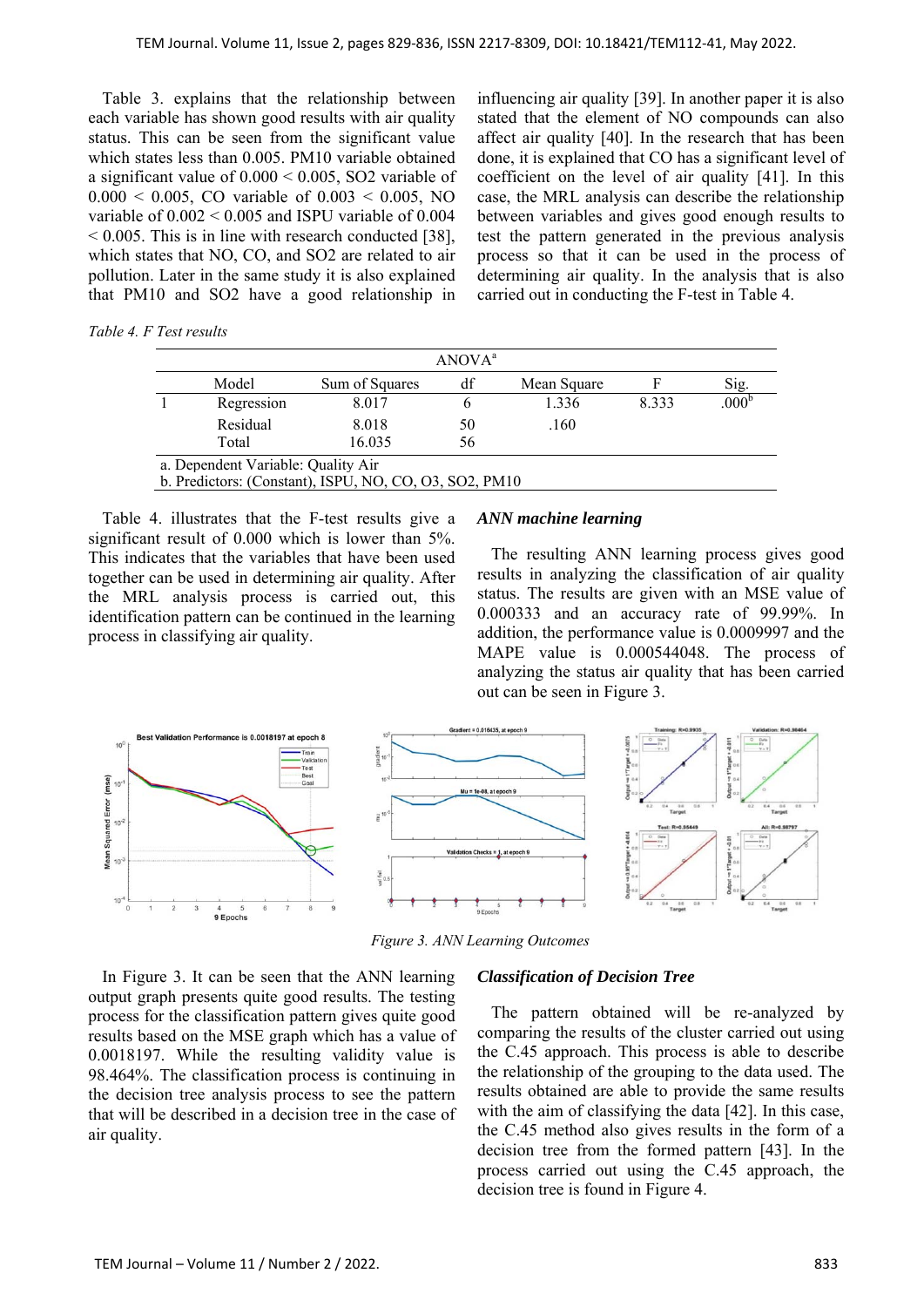Table 3. explains that the relationship between each variable has shown good results with air quality status. This can be seen from the significant value which states less than 0.005. PM10 variable obtained a significant value of 0.000 < 0.005, SO2 variable of  $0.000 < 0.005$ , CO variable of  $0.003 < 0.005$ , NO variable of  $0.002 \le 0.005$  and ISPU variable of  $0.004$  $\leq$  0.005. This is in line with research conducted [38], which states that NO, CO, and SO2 are related to air pollution. Later in the same study it is also explained that PM10 and SO2 have a good relationship in influencing air quality [39]. In another paper it is also stated that the element of NO compounds can also affect air quality [40]. In the research that has been done, it is explained that CO has a significant level of coefficient on the level of air quality [41]. In this case, the MRL analysis can describe the relationship between variables and gives good enough results to test the pattern generated in the previous analysis process so that it can be used in the process of determining air quality. In the analysis that is also carried out in conducting the F-test in Table 4.

| ANOVA <sup>a</sup> |                                    |                                                        |    |             |       |                   |  |  |  |
|--------------------|------------------------------------|--------------------------------------------------------|----|-------------|-------|-------------------|--|--|--|
|                    | Model                              | Sum of Squares                                         | df | Mean Square | F     | Sig.              |  |  |  |
|                    | Regression                         | 8.017                                                  |    | 1.336       | 8.333 | .000 <sup>k</sup> |  |  |  |
|                    | Residual                           | 8.018                                                  | 50 | .160        |       |                   |  |  |  |
|                    | Total                              | 16.035                                                 | 56 |             |       |                   |  |  |  |
|                    | a. Dependent Variable: Quality Air |                                                        |    |             |       |                   |  |  |  |
|                    |                                    | b. Predictors: (Constant), ISPU, NO, CO, O3, SO2, PM10 |    |             |       |                   |  |  |  |

Table 4. illustrates that the F-test results give a significant result of 0.000 which is lower than 5%. This indicates that the variables that have been used together can be used in determining air quality. After the MRL analysis process is carried out, this identification pattern can be continued in the learning process in classifying air quality.

### *ANN machine learning*

The resulting ANN learning process gives good results in analyzing the classification of air quality status. The results are given with an MSE value of 0.000333 and an accuracy rate of 99.99%. In addition, the performance value is 0.0009997 and the MAPE value is 0.000544048. The process of analyzing the status air quality that has been carried out can be seen in Figure 3.



*Figure 3. ANN Learning Outcomes* 

In Figure 3. It can be seen that the ANN learning output graph presents quite good results. The testing process for the classification pattern gives quite good results based on the MSE graph which has a value of 0.0018197. While the resulting validity value is 98.464%. The classification process is continuing in the decision tree analysis process to see the pattern that will be described in a decision tree in the case of air quality.

#### *Classification of Decision Tree*

The pattern obtained will be re-analyzed by comparing the results of the cluster carried out using the C.45 approach. This process is able to describe the relationship of the grouping to the data used. The results obtained are able to provide the same results with the aim of classifying the data [42]. In this case, the C.45 method also gives results in the form of a decision tree from the formed pattern [43]. In the process carried out using the C.45 approach, the decision tree is found in Figure 4.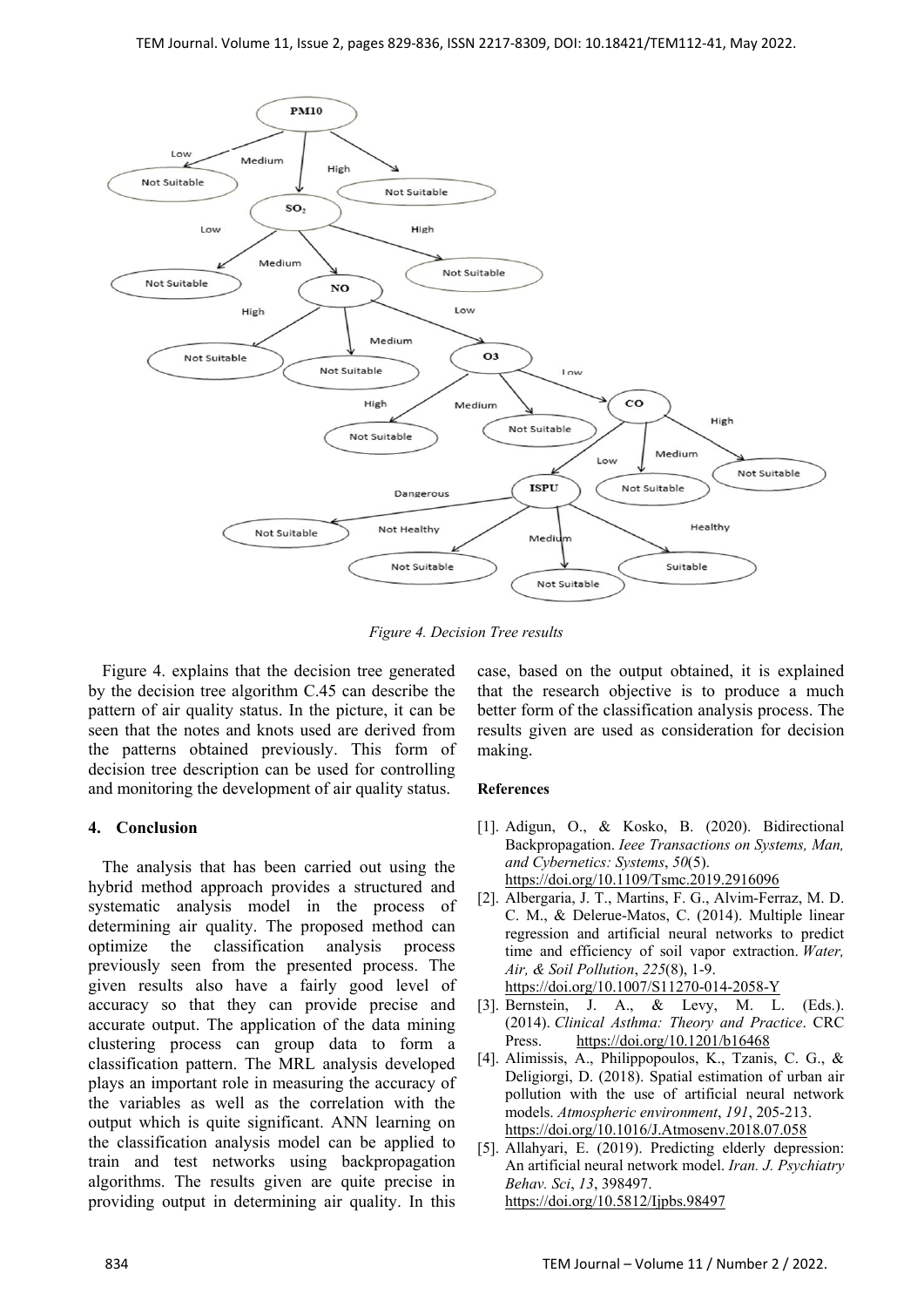

*Figure 4. Decision Tree results* 

Figure 4. explains that the decision tree generated by the decision tree algorithm C.45 can describe the pattern of air quality status. In the picture, it can be seen that the notes and knots used are derived from the patterns obtained previously. This form of decision tree description can be used for controlling and monitoring the development of air quality status.

# **4. Conclusion**

The analysis that has been carried out using the hybrid method approach provides a structured and systematic analysis model in the process of determining air quality. The proposed method can optimize the classification analysis process previously seen from the presented process. The given results also have a fairly good level of accuracy so that they can provide precise and accurate output. The application of the data mining clustering process can group data to form a classification pattern. The MRL analysis developed plays an important role in measuring the accuracy of the variables as well as the correlation with the output which is quite significant. ANN learning on the classification analysis model can be applied to train and test networks using backpropagation algorithms. The results given are quite precise in providing output in determining air quality. In this

case, based on the output obtained, it is explained that the research objective is to produce a much better form of the classification analysis process. The results given are used as consideration for decision making.

# **References**

- [1]. Adigun, O., & Kosko, B. (2020). Bidirectional Backpropagation. *Ieee Transactions on Systems, Man, and Cybernetics: Systems*, *50*(5). https://doi.org/10.1109/Tsmc.2019.2916096
- [2]. Albergaria, J. T., Martins, F. G., Alvim-Ferraz, M. D. C. M., & Delerue-Matos, C. (2014). Multiple linear regression and artificial neural networks to predict time and efficiency of soil vapor extraction. *Water, Air, & Soil Pollution*, *225*(8), 1-9.

https://doi.org/10.1007/S11270-014-2058-Y

- [3]. Bernstein, J. A., & Levy, M. L. (Eds.). (2014). *Clinical Asthma: Theory and Practice*. CRC Press. https://doi.org/10.1201/b16468
- [4]. Alimissis, A., Philippopoulos, K., Tzanis, C. G., & Deligiorgi, D. (2018). Spatial estimation of urban air pollution with the use of artificial neural network models. *Atmospheric environment*, *191*, 205-213. https://doi.org/10.1016/J.Atmosenv.2018.07.058
- [5]. Allahyari, E. (2019). Predicting elderly depression: An artificial neural network model. *Iran. J. Psychiatry Behav. Sci*, *13*, 398497. https://doi.org/10.5812/Ijpbs.98497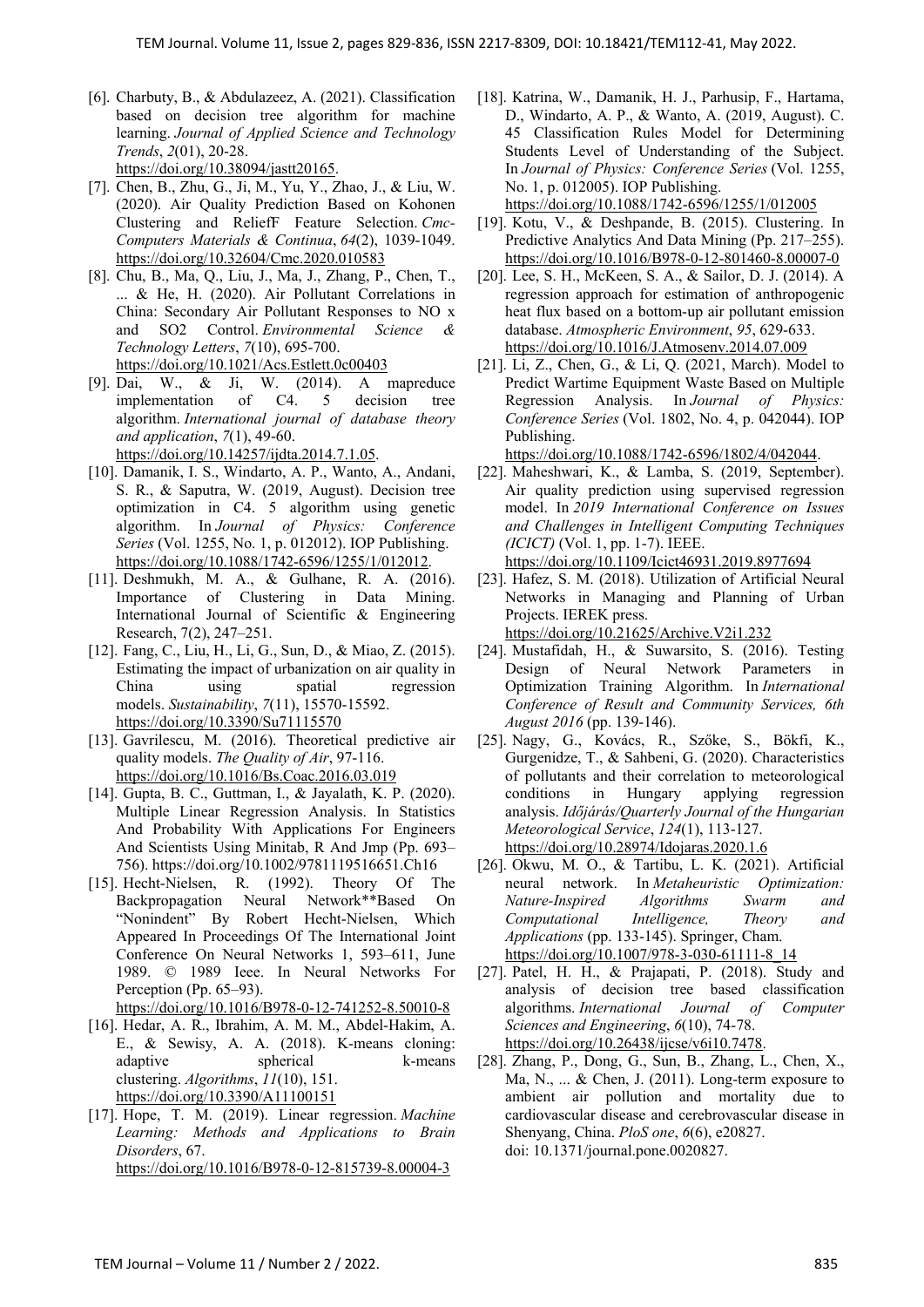- [6]. Charbuty, B., & Abdulazeez, A. (2021). Classification based on decision tree algorithm for machine learning. *Journal of Applied Science and Technology Trends*, *2*(01), 20-28. https://doi.org/10.38094/jastt20165.
- [7]. Chen, B., Zhu, G., Ji, M., Yu, Y., Zhao, J., & Liu, W. (2020). Air Quality Prediction Based on Kohonen Clustering and ReliefF Feature Selection. *Cmc-Computers Materials & Continua*, *64*(2), 1039-1049. https://doi.org/10.32604/Cmc.2020.010583
- [8]. Chu, B., Ma, Q., Liu, J., Ma, J., Zhang, P., Chen, T., ... & He, H. (2020). Air Pollutant Correlations in China: Secondary Air Pollutant Responses to NO x and SO2 Control. *Environmental Science & Technology Letters*, *7*(10), 695-700. https://doi.org/10.1021/Acs.Estlett.0c00403
- [9]. Dai, W., & Ji, W. (2014). A mapreduce implementation of C4. 5 decision tree algorithm. *International journal of database theory and application*, *7*(1), 49-60. https://doi.org/10.14257/ijdta.2014.7.1.05.
- [10]. Damanik, I. S., Windarto, A. P., Wanto, A., Andani, S. R., & Saputra, W. (2019, August). Decision tree optimization in C4. 5 algorithm using genetic algorithm. In *Journal of Physics: Conference Series* (Vol. 1255, No. 1, p. 012012). IOP Publishing. https://doi.org/10.1088/1742-6596/1255/1/012012.
- [11]. Deshmukh, M. A., & Gulhane, R. A. (2016). Importance of Clustering in Data Mining. International Journal of Scientific & Engineering Research, 7(2), 247–251.
- [12]. Fang, C., Liu, H., Li, G., Sun, D., & Miao, Z. (2015). Estimating the impact of urbanization on air quality in China using spatial regression models. *Sustainability*, *7*(11), 15570-15592. https://doi.org/10.3390/Su71115570
- [13]. Gavrilescu, M. (2016). Theoretical predictive air quality models. *The Quality of Air*, 97-116. https://doi.org/10.1016/Bs.Coac.2016.03.019
- [14]. Gupta, B. C., Guttman, I., & Jayalath, K. P. (2020). Multiple Linear Regression Analysis. In Statistics And Probability With Applications For Engineers And Scientists Using Minitab, R And Jmp (Pp. 693– 756). https://doi.org/10.1002/9781119516651.Ch16
- [15]. Hecht-Nielsen, R. (1992). Theory Of The Backpropagation Neural Network\*\*Based On "Nonindent" By Robert Hecht-Nielsen, Which Appeared In Proceedings Of The International Joint Conference On Neural Networks 1, 593–611, June 1989. © 1989 Ieee. In Neural Networks For Perception (Pp. 65–93).
- https://doi.org/10.1016/B978-0-12-741252-8.50010-8
- [16]. Hedar, A. R., Ibrahim, A. M. M., Abdel-Hakim, A. E., & Sewisy, A. A. (2018). K-means cloning: adaptive spherical k-means clustering. *Algorithms*, *11*(10), 151. https://doi.org/10.3390/A11100151
- [17]. Hope, T. M. (2019). Linear regression. *Machine Learning: Methods and Applications to Brain Disorders*, 67. https://doi.org/10.1016/B978-0-12-815739-8.00004-3
- [18]. Katrina, W., Damanik, H. J., Parhusip, F., Hartama, D., Windarto, A. P., & Wanto, A. (2019, August). C. 45 Classification Rules Model for Determining Students Level of Understanding of the Subject. In *Journal of Physics: Conference Series* (Vol. 1255, No. 1, p. 012005). IOP Publishing.
	- https://doi.org/10.1088/1742-6596/1255/1/012005
- [19]. Kotu, V., & Deshpande, B. (2015). Clustering. In Predictive Analytics And Data Mining (Pp. 217–255). https://doi.org/10.1016/B978-0-12-801460-8.00007-0
- [20]. Lee, S. H., McKeen, S. A., & Sailor, D. J. (2014). A regression approach for estimation of anthropogenic heat flux based on a bottom-up air pollutant emission database. *Atmospheric Environment*, *95*, 629-633. https://doi.org/10.1016/J.Atmosenv.2014.07.009
- [21]. Li, Z., Chen, G., & Li, Q. (2021, March). Model to Predict Wartime Equipment Waste Based on Multiple Regression Analysis. In *Journal of Physics: Conference Series* (Vol. 1802, No. 4, p. 042044). IOP Publishing.

https://doi.org/10.1088/1742-6596/1802/4/042044.

- [22]. Maheshwari, K., & Lamba, S. (2019, September). Air quality prediction using supervised regression model. In *2019 International Conference on Issues and Challenges in Intelligent Computing Techniques (ICICT)* (Vol. 1, pp. 1-7). IEEE.
	- https://doi.org/10.1109/Icict46931.2019.8977694
- [23]. Hafez, S. M. (2018). Utilization of Artificial Neural Networks in Managing and Planning of Urban Projects. IEREK press. https://doi.org/10.21625/Archive.V2i1.232
- [24]. Mustafidah, H., & Suwarsito, S. (2016). Testing Design of Neural Network Parameters in Optimization Training Algorithm. In *International Conference of Result and Community Services, 6th August 2016* (pp. 139-146).
- [25]. Nagy, G., Kovács, R., Szőke, S., Bökfi, K., Gurgenidze, T., & Sahbeni, G. (2020). Characteristics of pollutants and their correlation to meteorological conditions in Hungary applying regression analysis. *Időjárás/Quarterly Journal of the Hungarian Meteorological Service*, *124*(1), 113-127. https://doi.org/10.28974/Idojaras.2020.1.6
- [26]. Okwu, M. O., & Tartibu, L. K. (2021). Artificial neural network. In *Metaheuristic Optimization: Nature-Inspired Algorithms Swarm and Computational Intelligence, Theory and Applications* (pp. 133-145). Springer, Cham. https://doi.org/10.1007/978-3-030-61111-8\_14
- [27]. Patel, H. H., & Prajapati, P. (2018). Study and analysis of decision tree based classification algorithms. *International Journal of Computer Sciences and Engineering*, *6*(10), 74-78. https://doi.org/10.26438/ijcse/v6i10.7478.
- [28]. Zhang, P., Dong, G., Sun, B., Zhang, L., Chen, X., Ma, N., ... & Chen, J. (2011). Long-term exposure to ambient air pollution and mortality due to cardiovascular disease and cerebrovascular disease in Shenyang, China. *PloS one*, *6*(6), e20827. doi: 10.1371/journal.pone.0020827.